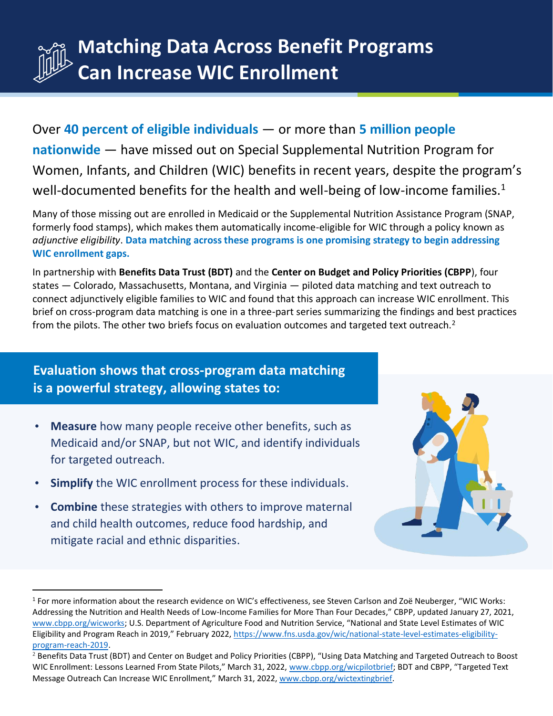Over **40 percent of eligible individuals** — or more than **5 million people nationwide** — have missed out on Special Supplemental Nutrition Program for Women, Infants, and Children (WIC) benefits in recent years, despite the program's well-documented benefits for the health and well-being of low-income families.<sup>1</sup>

Many of those missing out are enrolled in Medicaid or the Supplemental Nutrition Assistance Program (SNAP, formerly food stamps), which makes them automatically income-eligible for WIC through a policy known as *adjunctive eligibility*. **Data matching across these programs is one promising strategy to begin addressing WIC enrollment gaps.**

In partnership with **Benefits Data Trust (BDT)** and the **Center on Budget and Policy Priorities (CBPP**), four states — Colorado, Massachusetts, Montana, and Virginia — piloted data matching and text outreach to connect adjunctively eligible families to WIC and found that this approach can increase WIC enrollment. This brief on cross-program data matching is one in a three-part series summarizing the findings and best practices from the pilots. The other two briefs focus on evaluation outcomes and targeted text outreach.<sup>2</sup>

# **Evaluation shows that cross-program data matching is a powerful strategy, allowing states to:**

- **Measure** how many people receive other benefits, such as Medicaid and/or SNAP, but not WIC, and identify individuals for targeted outreach.
- **Simplify** the WIC enrollment process for these individuals.
- **Combine** these strategies with others to improve maternal and child health outcomes, reduce food hardship, and mitigate racial and ethnic disparities.

<sup>1</sup> For more information about the research evidence on WIC's effectiveness, see Steven Carlson and Zoë Neuberger, "WIC Works: Addressing the Nutrition and Health Needs of Low-Income Families for More Than Four Decades," CBPP, updated January 27, 2021, [www.cbpp.org/wicworks;](http://www.cbpp.org/wicworks) U.S. Department of Agriculture Food and Nutrition Service, "National and State Level Estimates of WIC Eligibility and Program Reach in 2019," February 2022, [https://www.fns.usda.gov/wic/national-state-level-estimates-eligibility](https://www.fns.usda.gov/wic/national-state-level-estimates-eligibility-program-reach-2019)[program-reach-2019.](https://www.fns.usda.gov/wic/national-state-level-estimates-eligibility-program-reach-2019)

<sup>&</sup>lt;sup>2</sup> Benefits Data Trust (BDT) and Center on Budget and Policy Priorities (CBPP), "Using Data Matching and Targeted Outreach to Boost WIC Enrollment: Lessons Learned From State Pilots," March 31, 2022, [www.cbpp.org/wicpilotbrief](http://www.cbpp.org/wicpilotbrief); BDT and CBPP, "Targeted Text Message Outreach Can Increase WIC Enrollment," March 31, 2022, [www.cbpp.org/wictextingbrief.](http://www.cbpp.org/wictextingbrief)